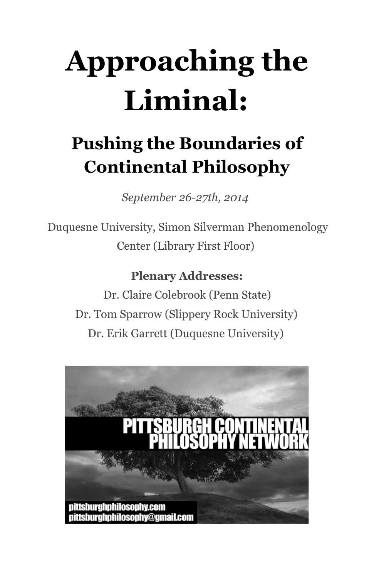# **Approaching the Liminal:**

### **Pushing the Boundaries of Continental Philosophy**

*September 26-27th, 2014*

Duquesne University, Simon Silverman Phenomenology Center (Library First Floor)

#### **Plenary Addresses:**

Dr. Claire Colebrook (Penn State) Dr. Tom Sparrow (Slippery Rock University) Dr. Erik Garrett (Duquesne University)

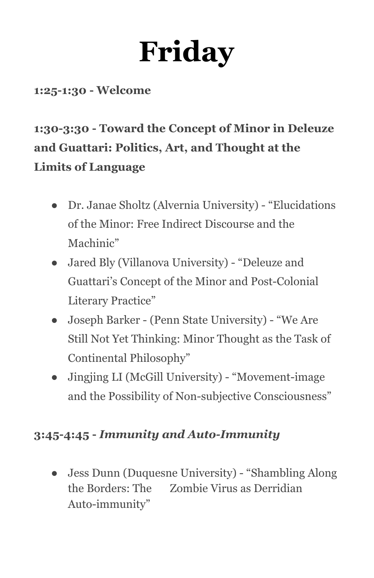# **Friday**

#### **1:25-1:30 - Welcome**

#### **1:30-3:30 - Toward the Concept of Minor in Deleuze and Guattari: Politics, Art, and Thought at the Limits of Language**

- Dr. Janae Sholtz (Alvernia University) "Elucidations of the Minor: Free Indirect Discourse and the Machinic"
- Jared Bly (Villanova University) "Deleuze and Guattari's Concept of the Minor and Post-Colonial Literary Practice"
- Joseph Barker (Penn State University) "We Are Still Not Yet Thinking: Minor Thought as the Task of Continental Philosophy"
- Jingjing LI (McGill University) "Movement-image and the Possibility of Non-subjective Consciousness"

#### **3:45-4:45 -** *Immunity and Auto-Immunity*

● Jess Dunn (Duquesne University) - "Shambling Along the Borders: The Zombie Virus as Derridian Auto-immunity"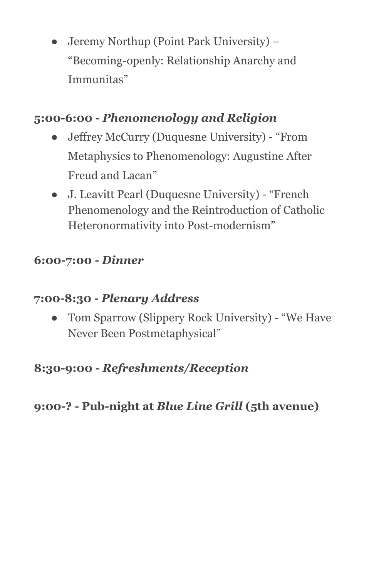• Jeremy Northup (Point Park University) – "Becoming-openly: Relationship Anarchy and Immunitas"

#### **5:00-6:00 -** *Phenomenology and Religion*

- Jeffrey McCurry (Duquesne University) "From Metaphysics to Phenomenology: Augustine After Freud and Lacan"
- J. Leavitt Pearl (Duquesne University) "French Phenomenology and the Reintroduction of Catholic Heteronormativity into Post-modernism"

#### **6:00-7:00 -** *Dinner*

#### **7:00-8:30 -** *Plenary Address*

Tom Sparrow (Slippery Rock University) - "We Have Never Been Postmetaphysical"

#### **8:30-9:00 -** *Refreshments/Reception*

#### **9:00-? - Pub-night at** *Blue Line Grill* **(5th avenue)**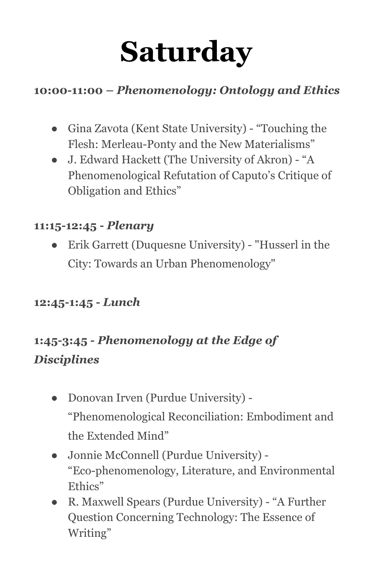# **Saturday**

#### **10:00-11:00 –** *Phenomenology: Ontology and Ethics*

- Gina Zavota (Kent State University) "Touching the Flesh: Merleau-Ponty and the New Materialisms"
- J. Edward Hackett (The University of Akron) "A Phenomenological Refutation of Caputo's Critique of Obligation and Ethics"

#### **11:15-12:45 -** *Plenary*

● Erik Garrett (Duquesne University) - "Husserl in the City: Towards an Urban Phenomenology"

#### **12:45-1:45 -** *Lunch*

#### **1:45-3:45 -** *Phenomenology at the Edge of Disciplines*

- Donovan Irven (Purdue University) "Phenomenological Reconciliation: Embodiment and the Extended Mind"
- Jonnie McConnell (Purdue University) "Eco-phenomenology, Literature, and Environmental Ethics"
- R. Maxwell Spears (Purdue University) "A Further Question Concerning Technology: The Essence of Writing"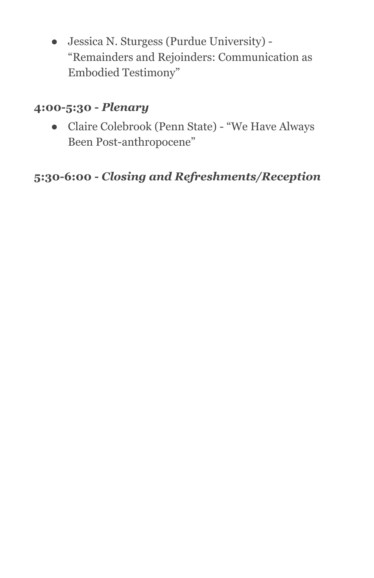● Jessica N. Sturgess (Purdue University) - "Remainders and Rejoinders: Communication as Embodied Testimony"

#### **4:00-5:30 -** *Plenary*

● Claire Colebrook (Penn State) - "We Have Always Been Post-anthropocene"

#### **5:30-6:00 -** *Closing and Refreshments/Reception*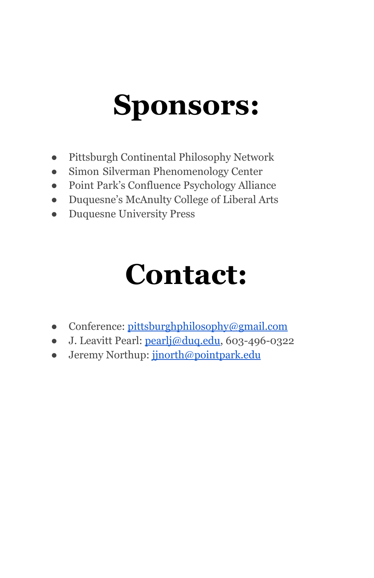### **Sponsors:**

- Pittsburgh Continental Philosophy Network
- Simon Silverman Phenomenology Center
- Point Park's Confluence Psychology Alliance
- Duquesne's McAnulty College of Liberal Arts
- Duquesne University Press

### **Contact:**

- Conference: [pittsburghphilosophy@gmail.com](mailto:pittsburghphilosophy@gmail.com)
- J. Leavitt Pearl: [pearlj@duq.edu,](mailto:pearlj@duq.edu) 603-496-0322
- Jeremy Northup: [jjnorth@pointpark.edu](mailto:jjnorth@pointpark.edu)